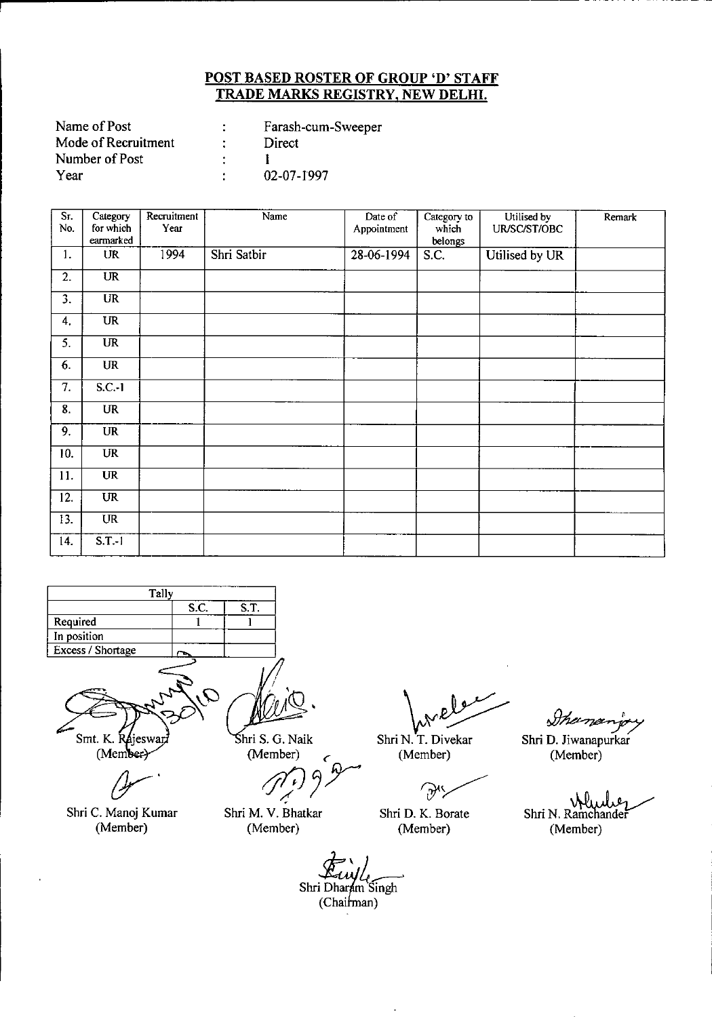| Name of Post        | Farash-cum-Sweeper |
|---------------------|--------------------|
| Mode of Recruitment | Direct             |
| Number of Post      |                    |
| Year                | 02-07-1997         |

| $\overline{S_{I}}$ .<br>No. | Category<br>for which<br>earmarked | Recruitment<br>Year | Name        | Date of<br>Appointment | Category to<br>which<br>belongs | Utilised by<br>UR/SC/ST/OBC | Remark |
|-----------------------------|------------------------------------|---------------------|-------------|------------------------|---------------------------------|-----------------------------|--------|
| 1.                          | UR                                 | 1994                | Shri Satbir | 28-06-1994             | S.C.                            | Utilised by UR              |        |
| 2.                          | $\overline{\text{UR}}$             |                     |             |                        |                                 |                             |        |
| 3.                          | $\overline{UR}$                    |                     |             |                        |                                 |                             |        |
| 4.                          | $\overline{UR}$                    |                     |             |                        |                                 |                             |        |
| 5.                          | $\overline{\text{UR}}$             |                     |             |                        |                                 |                             |        |
| 6.                          | <b>UR</b>                          |                     |             |                        |                                 |                             |        |
| 7.                          | $S.C.-1$                           |                     |             |                        |                                 |                             |        |
| 8.                          | <b>UR</b>                          |                     |             |                        |                                 |                             |        |
| 9.                          | <b>UR</b>                          |                     |             |                        |                                 |                             |        |
| 10.                         | $\overline{\text{UR}}$             |                     |             |                        |                                 |                             |        |
| 11.                         | <b>UR</b>                          |                     |             |                        |                                 |                             |        |
| 12.                         | <b>UR</b>                          |                     |             |                        |                                 |                             |        |
| 13.                         | UR                                 |                     |             |                        |                                 |                             |        |
| 14.                         | $S.T.-1$                           |                     |             |                        |                                 |                             |        |



Smt. K. Rajeswar (Member)

Shri C. Manoj Kumar (Member)

Shri S. G. Naik

(Member)

Shr; M. V. Bhatkar (Member)

**√** 

Shri N. T. Diveka (Member)

 $\gamma$ 

Shri D. K. Borate (Member)

رمصر سے ہرے<br>Shri D. Jiwanapurk

(Member)

Wuu Shri N. Ramchander (Member)

Shri Dharam Singh<br>(Chairman)

 $\mathbf{r}$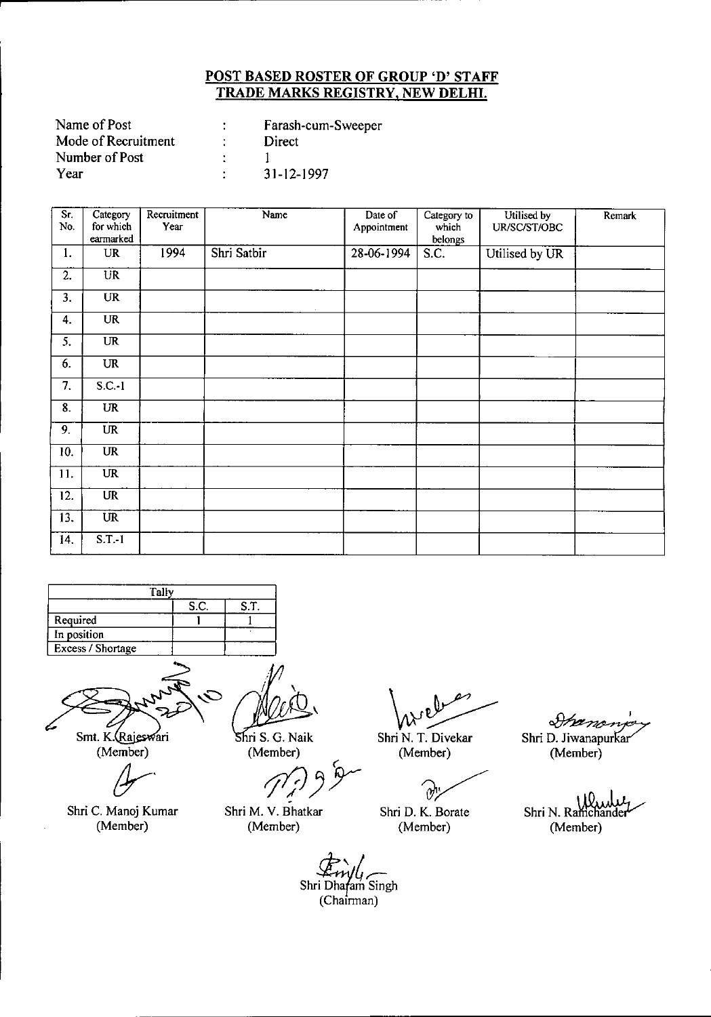| Name of Post        | Farash-cum-Sweeper |
|---------------------|--------------------|
| Mode of Recruitment | Direct             |
| Number of Post      |                    |
| Year                | $31 - 12 - 1997$   |

| $\overline{\text{Sr.}}$<br>No. | Category<br>for which<br>earmarked | Recruitment<br>Year | Name        | Date of<br>Appointment | Category to<br>which<br>belongs | Utilised by<br>UR/SC/ST/OBC | Remark |
|--------------------------------|------------------------------------|---------------------|-------------|------------------------|---------------------------------|-----------------------------|--------|
| 1.                             | <b>UR</b>                          | 1994                | Shri Satbir | 28-06-1994             | S.C.                            | Utilised by UR              |        |
| $\overline{2}$ .               | $\overline{UR}$                    |                     |             |                        |                                 |                             |        |
| 3.                             | <b>UR</b>                          |                     |             |                        |                                 |                             |        |
| 4.                             | <b>UR</b>                          |                     |             |                        |                                 |                             |        |
| 5.                             | <b>UR</b>                          |                     |             |                        |                                 |                             |        |
| 6.                             | <b>UR</b>                          |                     |             |                        |                                 |                             |        |
| 7.                             | $S.C.-1$                           |                     |             |                        |                                 |                             |        |
| 8.                             | <b>UR</b>                          |                     |             |                        |                                 |                             |        |
| 9.                             | <b>UR</b>                          |                     |             |                        |                                 |                             |        |
| 10.                            | $\overline{UR}$                    |                     |             |                        |                                 |                             |        |
| 11.                            | $\overline{UR}$                    |                     |             |                        |                                 |                             |        |
| 12.                            | <b>UR</b>                          |                     |             |                        |                                 |                             |        |
| 13.                            | UR                                 |                     |             |                        |                                 |                             |        |
| 14.                            | $S.T.-1$                           |                     |             |                        |                                 |                             |        |

| Tally             |      |      |
|-------------------|------|------|
|                   | S.C. | S.T. |
| Required          |      |      |
| In position       |      |      |
| Excess / Shortage |      |      |
|                   |      |      |



(Member)

*Jr'*

Shri C. Manoj Kumar (Member)

 $\mathbf{r}$ Shri S. G. Naik

(Member)

 $\epsilon$ *11JJ)Y*

Shri M. V. Bhatkar (Member)

Shri*\wv* N. T. Divekar

(Member)

 $\vartheta$ 

Shri D. K. Borate (Member)

Itanen Shri D. Jiwanapurkar (Member)

Shri N. Ramchande (Member)

Shri Dhafam Singh  $(Chairman)$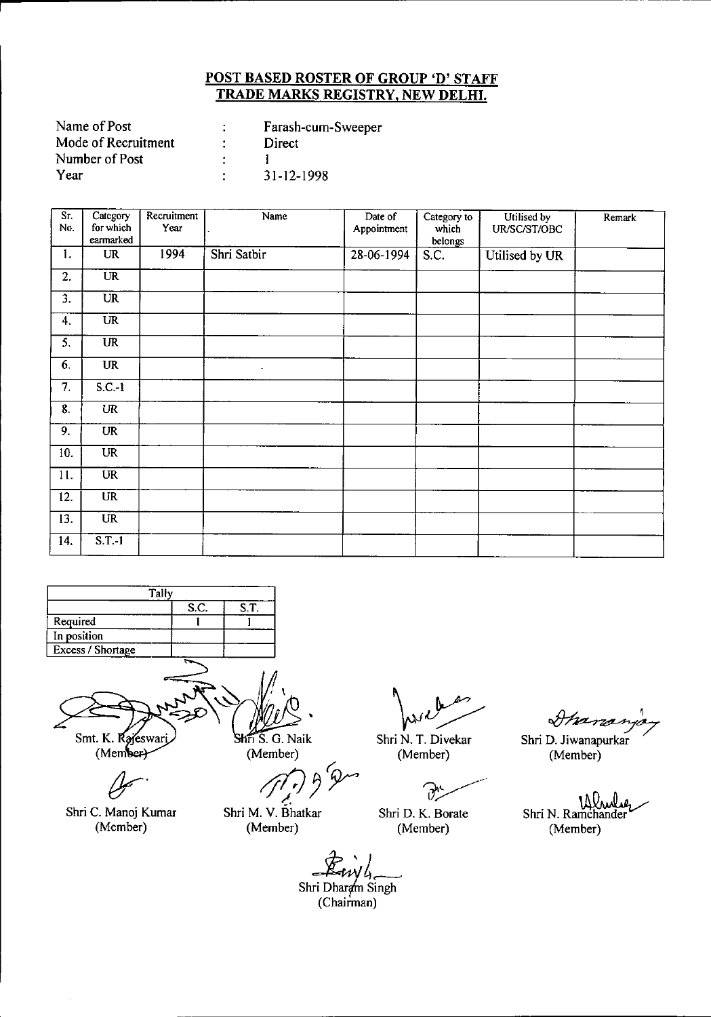| Name of Post        | Farash-cum-Sweeper |
|---------------------|--------------------|
| Mode of Recruitment | Direct             |
| Number of Post      |                    |
| Year                | 31-12-1998         |

| ST.<br>No. | Category<br>for which<br>earmarked | Recruitment<br>Year | Name        | Date of<br>Appointment | Category to<br>which<br>belongs | Utilised by<br>UR/SC/ST/OBC | Remark |
|------------|------------------------------------|---------------------|-------------|------------------------|---------------------------------|-----------------------------|--------|
| 1.         | <b>UR</b>                          | 1994                | Shri Satbir | 28-06-1994             | S.C.                            | Utilised by UR              |        |
| 2.         | <b>UR</b>                          |                     |             |                        |                                 |                             |        |
| 3.         | UR                                 |                     |             |                        |                                 |                             |        |
| 4.         | $\overline{\text{UR}}$             |                     |             |                        |                                 |                             |        |
| 5.         | <b>UR</b>                          |                     |             |                        |                                 |                             |        |
| 6.         | <b>UR</b>                          |                     | $\bullet$   |                        |                                 |                             |        |
| 7.         | $S.C.-1$                           |                     |             |                        |                                 |                             |        |
| 8.         | UR                                 |                     |             |                        |                                 |                             |        |
| 9.         | <b>UR</b>                          |                     |             |                        |                                 |                             |        |
| 10.        | $\overline{\text{UR}}$             |                     |             |                        |                                 |                             |        |
| 11.        | $\overline{\text{UR}}$             |                     |             |                        |                                 |                             |        |
| 12.        | $\overline{UR}$                    |                     |             |                        |                                 |                             |        |
| 13.        | <b>UR</b>                          |                     |             |                        |                                 |                             |        |
| 14.        | $S.T.-1$                           |                     |             |                        |                                 |                             |        |



Smt. K. Rajeswari Shri S. G. Naik<br>(Member) (Member) (Member)

*(Jr'*

Shri C. Manoj Kumar (Member)

 $\gg$   $\land$  (  $\mathbb{N}$   $\mathbb{N}$   $\rightarrow$   $\sim$ 

Shri M. V. Bhatkar (Member)

r.. */jQ~r*  $\leq$ 

~~ Shri N. T. Divekar (Member)

Shri D. K. Borate (Member)

Ihanan Shri D. Jiwanapurkar

(Member)

1W Shri N. Ramchander (Member)

*l,A~/4~* Shri Dharam Singh

 $(Chairman)$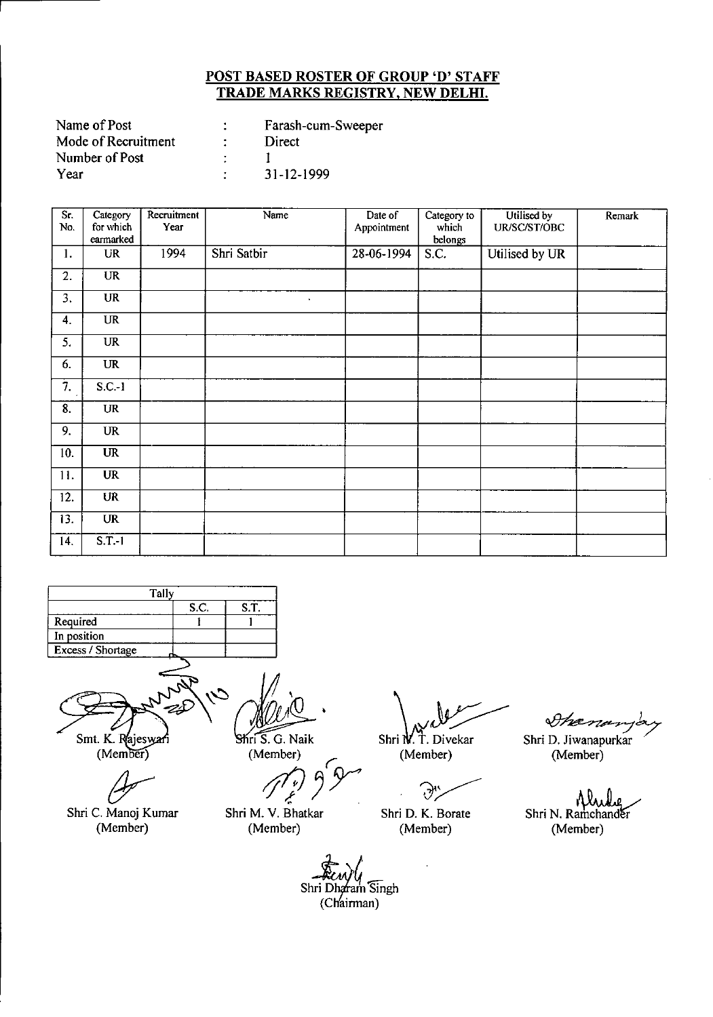| Name of Post        | Farash-cum-Sweeper |
|---------------------|--------------------|
| Mode of Recruitment | Direct             |
| Number of Post      |                    |
| Year                | 31-12-1999         |

| Sr.<br>No.       | Category<br>for which<br>earmarked | Recruitment<br>Year | Name        | Date of<br>Appointment | Category to<br>which<br>belongs | Utilised by<br>UR/SC/ST/OBC | Remark |
|------------------|------------------------------------|---------------------|-------------|------------------------|---------------------------------|-----------------------------|--------|
| 1.               | <b>UR</b>                          | 1994                | Shri Satbir | 28-06-1994             | S.C.                            | Utilised by UR              |        |
| 2.               | <b>UR</b>                          |                     |             |                        |                                 |                             |        |
| $\overline{3}$ . | <b>UR</b>                          |                     | $\cdot$     |                        |                                 |                             |        |
| 4.               | $\overline{\text{UR}}$             |                     |             |                        |                                 |                             |        |
| 5.               | <b>UR</b>                          |                     |             |                        |                                 |                             |        |
| 6.               | <b>UR</b>                          |                     |             |                        |                                 |                             |        |
| 7.               | $S.C.-1$                           |                     |             |                        |                                 |                             |        |
| 8.               | <b>UR</b>                          |                     |             |                        |                                 |                             |        |
| 9.               | <b>UR</b>                          |                     |             |                        |                                 |                             |        |
| 10.              | <b>UR</b>                          |                     |             |                        |                                 |                             |        |
| 11.              | <b>UR</b>                          |                     |             |                        |                                 |                             |        |
| 12.              | <b>UR</b>                          |                     |             |                        |                                 |                             |        |
| 13.              | <b>UR</b>                          |                     |             |                        |                                 |                             |        |
| 14.              | $S.T.-1$                           |                     |             |                        |                                 |                             |        |



 $(Member)$ 

Shri C. Manoj Kumar (Member)

*Shri S. G. Naik (Member)* 

*;f7jJ jY* Shri M. V. Bhatkar

(Member) بہج<br>ر

Shri N. T. Divekar

Shri D. K. Borate (Member)

Shananja

Shri D. Jiwanapurkar (Member)

Shri N. Ramchander (Member)

(Member)

Shri Dharam Singh (Chairman)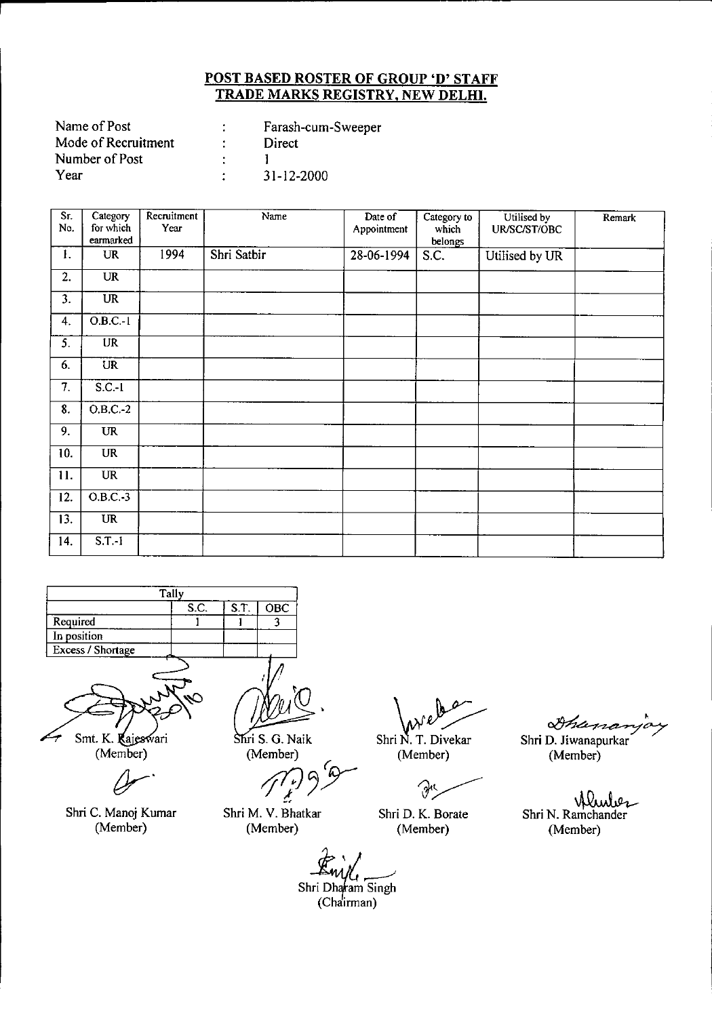| Name of Post        | Farash-cum-Sweeper |
|---------------------|--------------------|
| Mode of Recruitment | Direct             |
| Number of Post      |                    |
| Year                | 31-12-2000         |

| Sr.<br>No. | Category<br>for which<br>earmarked | Recruitment<br>Year | Name        | Date of<br>Appointment | Category to<br>which<br>belongs | Utilised by<br>UR/SC/ST/OBC | Remark |
|------------|------------------------------------|---------------------|-------------|------------------------|---------------------------------|-----------------------------|--------|
| 1.         | UR                                 | 1994                | Shri Satbir | 28-06-1994             | S.C.                            | Utilised by UR              |        |
| 2.         | <b>UR</b>                          |                     |             |                        |                                 |                             |        |
| 3.         | <b>UR</b>                          |                     |             |                        |                                 |                             |        |
| 4.         | O.B.C.1                            |                     |             |                        |                                 |                             |        |
| 5.         | UR                                 |                     |             |                        |                                 |                             |        |
| 6.         | <b>UR</b>                          |                     |             |                        |                                 |                             |        |
| 7.         | $S.C.-1$                           |                     |             |                        |                                 |                             |        |
| 8.         | $O.B.C.-2$                         |                     |             |                        |                                 |                             |        |
| 9.         | <b>UR</b>                          |                     |             |                        |                                 |                             |        |
| 10.        | <b>UR</b>                          |                     |             |                        |                                 |                             |        |
| 11.        | <b>UR</b>                          |                     |             |                        |                                 |                             |        |
| 12.        | O.B.C.3                            |                     |             |                        |                                 |                             |        |
| 13.        | <b>UR</b>                          |                     |             |                        |                                 |                             |        |
| 14.        | $S.T.-1$                           |                     |             |                        |                                 |                             |        |



Smt. K. Kajeswari

 $(Member)$ 

Shri C. Manoj Kumar (Member)

Shri S. G. Naik

(Member)

(Member)

(, *fjJ~Y* Shri M. V. Bhatkar

Shri N. T. Divekar (Member)

 $\bigcirc$ 

Shri D. K. Borate (Member)

*o(f.4&-'~7* Shri D. Jiwanapurkar (Member)

r Nund<br>Shri N. Ramchande Winber (Member)

Shri Dharam Singh

(Chairman)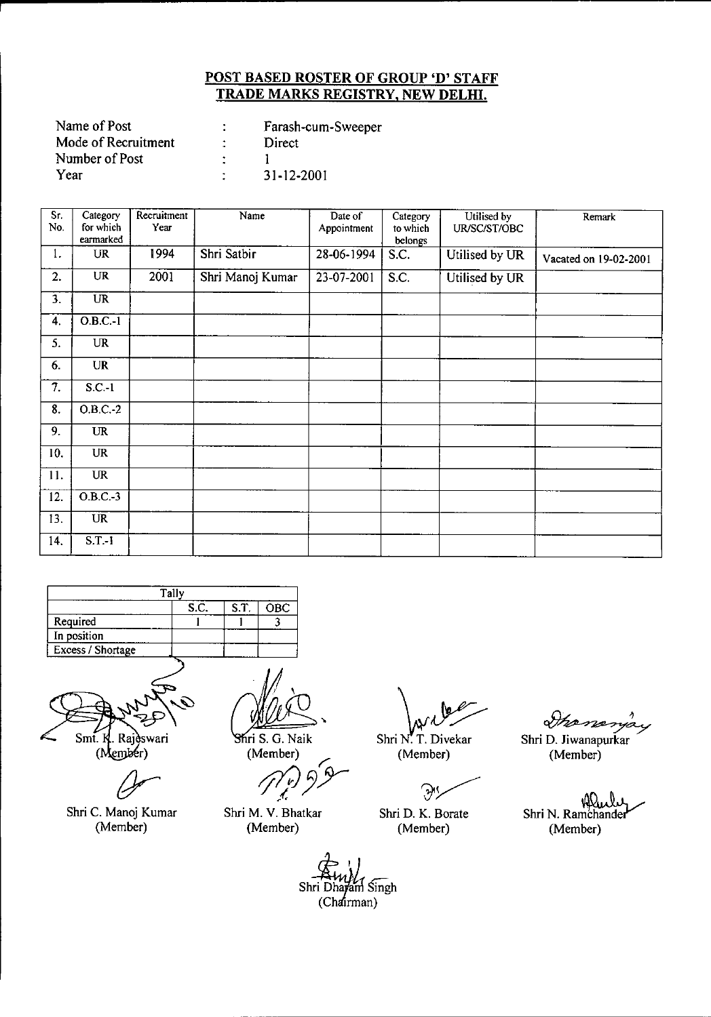| Name of Post        | Farash-cum-Sweeper |
|---------------------|--------------------|
| Mode of Recruitment | Direct             |
| Number of Post      |                    |
| Year                | 31-12-2001         |

| Sr.<br>No.                | Category<br>for which<br>earmarked | Recruitment<br>Year | Name             | Date of<br>Appointment | Category<br>to which<br>belongs | Utilised by<br>UR/SC/ST/OBC | Remark                |
|---------------------------|------------------------------------|---------------------|------------------|------------------------|---------------------------------|-----------------------------|-----------------------|
| 1.                        | <b>UR</b>                          | 1994                | Shri Satbir      | 28-06-1994             | S.C.                            | Utilised by UR              | Vacated on 19-02-2001 |
| 2.                        | <b>UR</b>                          | 2001                | Shri Manoj Kumar | 23-07-2001             | S.C.                            | Utilised by UR              |                       |
| $\overline{\mathbf{3}}$ . | <b>UR</b>                          |                     |                  |                        |                                 |                             |                       |
| 4.                        | $O.B.C.-1$                         |                     |                  |                        |                                 |                             |                       |
| 5.                        | <b>UR</b>                          |                     |                  |                        |                                 |                             |                       |
| 6.                        | <b>UR</b>                          |                     |                  |                        |                                 |                             |                       |
| $\overline{\tau}$ .       | $S.C.-1$                           |                     |                  |                        |                                 |                             |                       |
| 8.                        | $O.B.C.-2$                         |                     |                  |                        |                                 |                             |                       |
| 9.                        | <b>UR</b>                          |                     |                  |                        |                                 |                             |                       |
| 10.                       | <b>UR</b>                          |                     |                  |                        |                                 |                             |                       |
| 11.                       | UR                                 |                     |                  |                        |                                 |                             |                       |
| 12.                       | $0.B.C.-3$                         |                     |                  |                        |                                 |                             |                       |
| 13.                       | $\overline{\text{UR}}$             |                     |                  |                        |                                 |                             |                       |
| 14.                       | $S.T.-I$                           |                     |                  |                        |                                 |                             |                       |

| S.C. |      |            |
|------|------|------------|
|      | S.T. | <b>OBC</b> |
|      |      |            |
|      |      |            |
|      |      |            |
|      |      |            |

Smt. K. Rajeswari (Member)

Shri C. Manoj Kumar (Member)

Shri S. G. Naik

(Member) *r. ~3r :1;*

Shri M. V. Bhatkar (Member)

Shri N. T. Divekar

(Member)

 $\mathcal{P}$ 

Shri D. K. Borate (Member)

Francyja

Shri D. Jiwanapurkar (Member)

Shri N. Ramchande (Member)

Shri Dhayam Singh<br>(Chairman)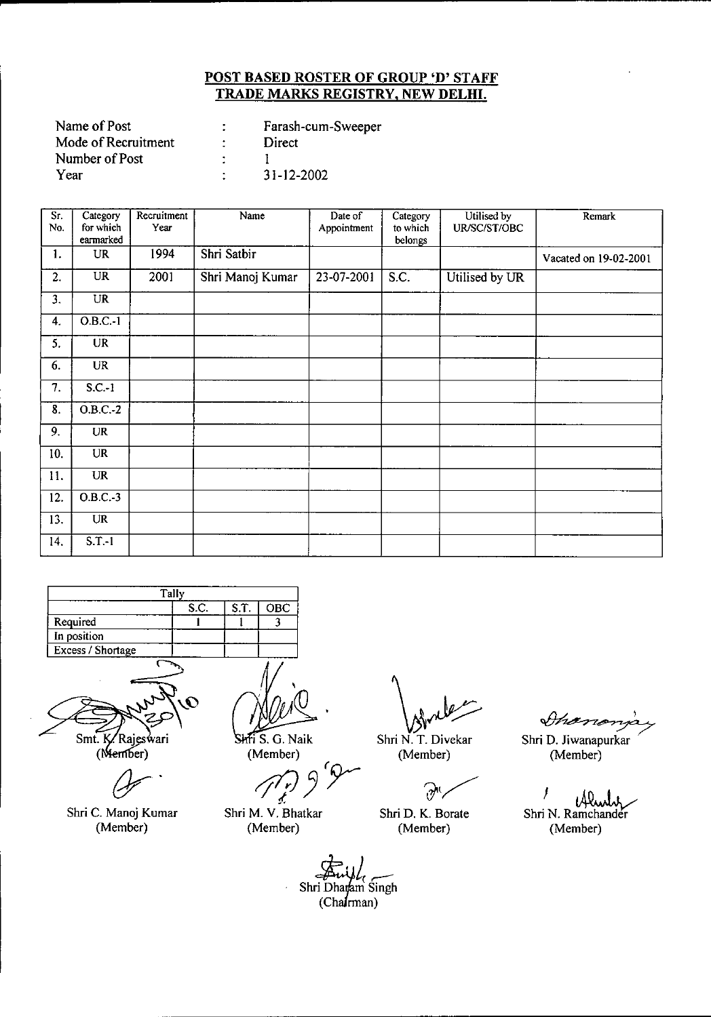| Name of Post        | Farash-cum-Sweeper |
|---------------------|--------------------|
| Mode of Recruitment | Direct             |
| Number of Post      |                    |
| Year                | 31-12-2002         |

| Sr. | Category   | Recruitment | Name             | Date of     | Category | Utilised by    | Remark                |
|-----|------------|-------------|------------------|-------------|----------|----------------|-----------------------|
| No. | for which  | Year        |                  | Appointment | to which | UR/SC/ST/OBC   |                       |
|     | earmarked  |             |                  |             | belongs  |                |                       |
| 1.  | <b>UR</b>  | 1994        | Shri Satbir      |             |          |                | Vacated on 19-02-2001 |
|     |            |             |                  |             |          |                |                       |
| 2.  | UR         | 2001        | Shri Manoj Kumar | 23-07-2001  | S.C.     | Utilised by UR |                       |
|     | <b>UR</b>  |             |                  |             |          |                |                       |
| 3.  |            |             |                  |             |          |                |                       |
| 4.  | $O.B.C.-1$ |             |                  |             |          |                |                       |
|     |            |             |                  |             |          |                |                       |
| 5.  | <b>UR</b>  |             |                  |             |          |                |                       |
|     |            |             |                  |             |          |                |                       |
| 6.  | <b>UR</b>  |             |                  |             |          |                |                       |
|     |            |             |                  |             |          |                |                       |
| 7.  | $S.C.-1$   |             |                  |             |          |                |                       |
| 8.  | $O.B.C.-2$ |             |                  |             |          |                |                       |
|     |            |             |                  |             |          |                |                       |
| 9.  | <b>UR</b>  |             |                  |             |          |                |                       |
|     |            |             |                  |             |          |                |                       |
| 10. | <b>UR</b>  |             |                  |             |          |                |                       |
|     |            |             |                  |             |          |                |                       |
| 11. | <b>UR</b>  |             |                  |             |          |                |                       |
|     |            |             |                  |             |          |                |                       |
| 12. | $O.B.C.-3$ |             |                  |             |          |                |                       |
| 13. | <b>UR</b>  |             |                  |             |          |                |                       |
|     |            |             |                  |             |          |                |                       |
| 14. | $S.T.-1$   |             |                  |             |          |                |                       |
|     |            |             |                  |             |          |                |                       |

|                   | <b>Tally</b> |      |     |
|-------------------|--------------|------|-----|
|                   | S.C.         | S.T. | OBC |
| Required          |              |      |     |
| In position       |              |      |     |
| Excess / Shortage |              |      |     |
|                   |              |      |     |

 $\overline{O}$ Smt. K. Rajeswari

 $M$ ember)

Shri C. Manoj Kumar (Member)

Shri S. G. Naik (Member)

Shri M. V. Bhatkar (Member)

wember)<br>*(1 r*) 9<sup>'9</sup> !.

~ Shri N. T. Divekar (Member)

 $\partial$ 

Shri D. K. Borate (Member)

Ihanon

Shri D. Jiwanapurkar (Member)

 $^{\prime}$  d Shri N. Ramchander (Member)

<sup>1</sup> Chairman) *l(r--* Shri Dha m Singh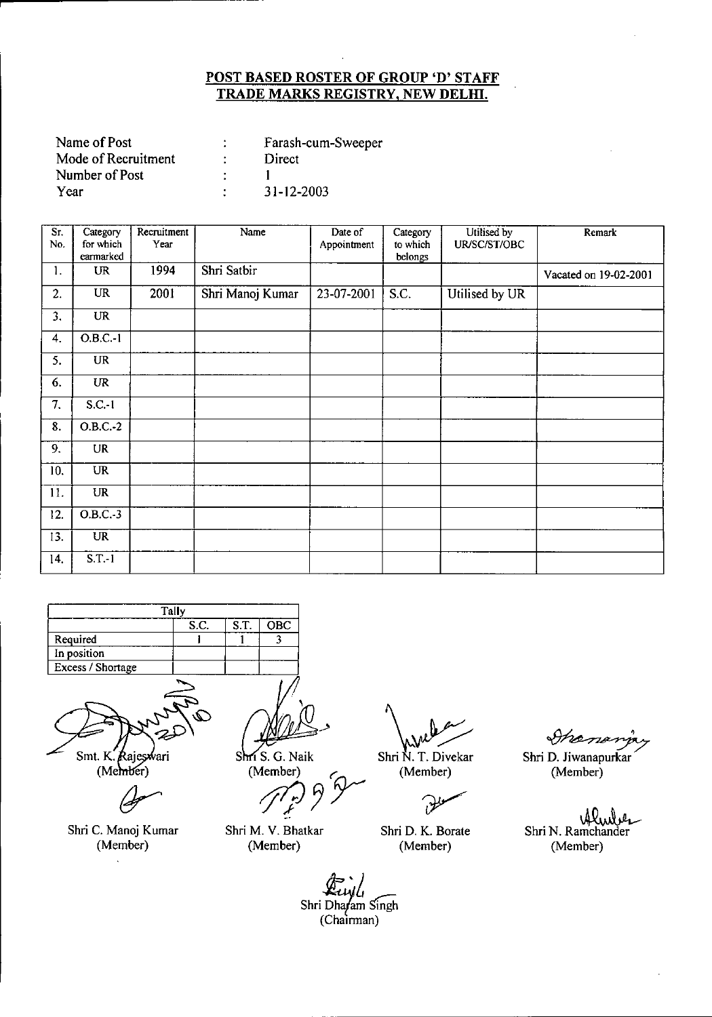| Name of Post        | Farash-cum-Sweeper |
|---------------------|--------------------|
| Mode of Recruitment | Direct             |
| Number of Post      |                    |
| Year                | 31-12-2003         |

| $\overline{S_{I}}$ .      | Category   | Recruitment | Name             | Date of     | Category | Utilised by    | Remark                |
|---------------------------|------------|-------------|------------------|-------------|----------|----------------|-----------------------|
| No.                       | for which  | Year        |                  | Appointment | to which | UR/SC/ST/OBC   |                       |
|                           | earmarked  |             |                  |             | belongs  |                |                       |
| 1.                        | <b>UR</b>  | 1994        | Shri Satbir      |             |          |                | Vacated on 19-02-2001 |
| 2.                        | <b>UR</b>  | 2001        | Shri Manoj Kumar | 23-07-2001  | S.C.     | Utilised by UR |                       |
| 3.                        | <b>UR</b>  |             |                  |             |          |                |                       |
| 4.                        | $O.B.C.-1$ |             |                  |             |          |                |                       |
| 5.                        | <b>UR</b>  |             |                  |             |          |                |                       |
| 6.                        | <b>UR</b>  |             |                  |             |          |                |                       |
| 7.                        | $S.C.-1$   |             |                  |             |          |                |                       |
| $\overline{\mathbf{8}}$ . | $O.B.C.-2$ |             |                  |             |          |                |                       |
| 9.                        | <b>UR</b>  |             |                  |             |          |                |                       |
| 10.                       | <b>UR</b>  |             |                  |             |          |                |                       |
| 11.                       | <b>UR</b>  |             |                  |             |          |                |                       |
| 12.                       | $O.B.C.-3$ |             |                  |             |          |                |                       |
| 13.                       | <b>UR</b>  |             |                  |             |          |                |                       |
| 14.                       | $S.T.-1$   |             |                  |             |          |                |                       |

|                   | Tally |      |     |
|-------------------|-------|------|-----|
|                   | S.C.  | S.T. | OBC |
| Required          |       |      |     |
| In position       |       |      |     |
| Excess / Shortage |       |      |     |
|                   |       |      |     |



Smt. K. Rajeswari<br>(Member)

إسكم

Shri C. Manoj Kumar (Member)

 $\ddot{\phantom{0}}$ 

Shri S. G. Naik (Member)

Shri M. V. Bhatkar (Member)

rember)<br>*r*<sup>*r*</sup>*p* 9 9 m

Shri N. T. Divekar (Member)

 $\mathcal{P}$ 

Shri D. K. Borate (Member)

Shri D. Jiwanapurkar (Member)

~ Shri N. Ramchander (Member)

erry Library Library Lawy Library Library Library Singh (Chairman)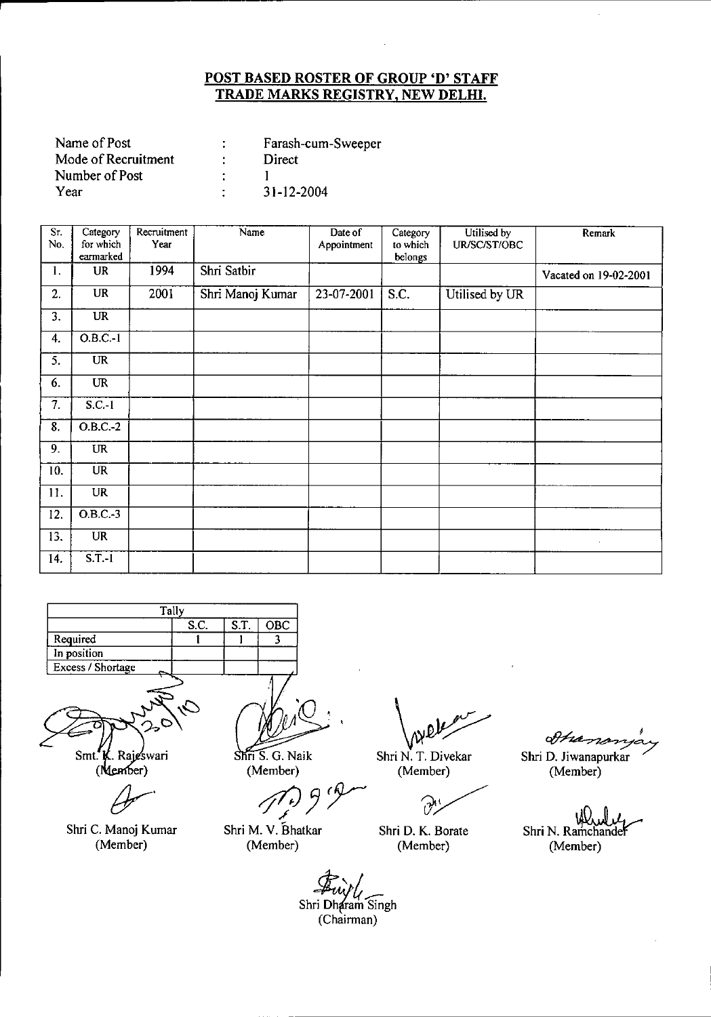| Name of Post        | Farash-cum-Sweeper |
|---------------------|--------------------|
| Mode of Recruitment | Direct             |
| Number of Post      |                    |
| Year                | 31-12-2004         |

| Sr.<br>No.       | Category<br>for which | Recruitment<br>Year | Name             | Date of     | Category<br>to which | Utilised by<br>UR/SC/ST/OBC | Remark                |
|------------------|-----------------------|---------------------|------------------|-------------|----------------------|-----------------------------|-----------------------|
|                  | earmarked             |                     |                  | Appointment | belongs              |                             |                       |
| 1.               | <b>UR</b>             | 1994                | Shri Satbir      |             |                      |                             | Vacated on 19-02-2001 |
| 2.               | UR                    | 2001                | Shri Manoj Kumar | 23-07-2001  | S.C.                 | Utilised by UR              |                       |
| $\overline{3}$ . | $\overline{UR}$       |                     |                  |             |                      |                             |                       |
| 4.               | $O.B.C.-1$            |                     |                  |             |                      |                             |                       |
| 5.               | <b>UR</b>             |                     |                  |             |                      |                             |                       |
| 6.               | <b>UR</b>             |                     |                  |             |                      |                             |                       |
| 7.               | $S.C.-1$              |                     |                  |             |                      |                             |                       |
| 8.               | $O.B.C.-2$            |                     |                  |             |                      |                             |                       |
| 9.               | <b>UR</b>             |                     |                  |             |                      |                             |                       |
| 10.              | <b>UR</b>             |                     |                  |             |                      |                             |                       |
| 11.              | <b>UR</b>             |                     |                  |             |                      |                             |                       |
| 12.              | $O.B.C.-3$            |                     |                  |             |                      |                             |                       |
| 13.              | <b>UR</b>             |                     |                  |             |                      |                             |                       |
| 14.              | $S.T.-1$              |                     |                  |             |                      |                             |                       |



Smt.<sup>1</sup>K. Rajeswari (Nember)

*(}r'*

Shri C. Manoj Kumar (Member)

Shri S. G. Naik (Member)

remoer)<br>*Jr* ,...(2)

Shri M. V. Bhatkar (Member)

\_V

Shri N. T. Divekar (Member)

*?Y*

Shri D. K. Borate (Member)

 $\partial$ Hans

Shri D. Jiwanapurkar (Member)

Shri N. Ramchande (Member)

Shri Dharam Singh (Chairman)